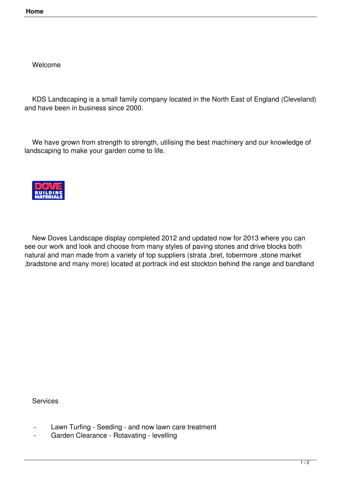Welcome

 KDS Landscaping is a small family company located in the North East of England (Cleveland) and have been in business since 2000.

 We have grown from strength to strength, utilising the best machinery and our knowledge of landscaping to make your garden come to life.



 New Doves Landscape display completed 2012 and updated now for 2013 where you can see our work and look and choose from many styles of paving stones and drive blocks both natural and man made from a variety of top suppliers (strata ,bret, tobermore ,stone market ,bradstone and many more) located at portrack ind est stockton behind the range and bandland

Services

- Lawn Turfing Seeding and now lawn care treatment
- Garden Clearance Rotavating levelling